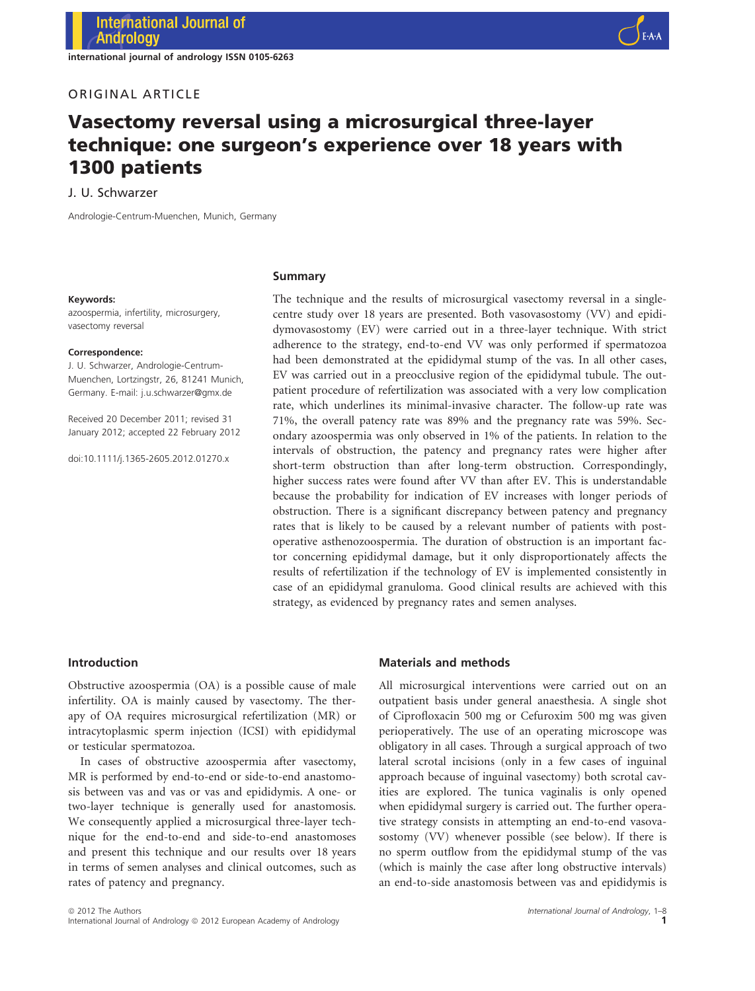international journal of andrology ISSN 0105-6263

# ORIGINAL ARTICLE

1300 patients

# Vasectomy reversal using a microsurgical three-layer technique: one surgeon's experience over 18 years with

J. U. Schwarzer

Andrologie-Centrum-Muenchen, Munich, Germany

#### Keywords:

azoospermia, infertility, microsurgery, vasectomy reversal

#### Correspondence:

J. U. Schwarzer, Andrologie-Centrum-Muenchen, Lortzingstr, 26, 81241 Munich, Germany. E-mail: j.u.schwarzer@gmx.de

Received 20 December 2011; revised 31 January 2012; accepted 22 February 2012

doi:10.1111/j.1365-2605.2012.01270.x

#### Summary

The technique and the results of microsurgical vasectomy reversal in a singlecentre study over 18 years are presented. Both vasovasostomy (VV) and epididymovasostomy (EV) were carried out in a three-layer technique. With strict adherence to the strategy, end-to-end VV was only performed if spermatozoa had been demonstrated at the epididymal stump of the vas. In all other cases, EV was carried out in a preocclusive region of the epididymal tubule. The outpatient procedure of refertilization was associated with a very low complication rate, which underlines its minimal-invasive character. The follow-up rate was 71%, the overall patency rate was 89% and the pregnancy rate was 59%. Secondary azoospermia was only observed in 1% of the patients. In relation to the intervals of obstruction, the patency and pregnancy rates were higher after short-term obstruction than after long-term obstruction. Correspondingly, higher success rates were found after VV than after EV. This is understandable because the probability for indication of EV increases with longer periods of obstruction. There is a significant discrepancy between patency and pregnancy rates that is likely to be caused by a relevant number of patients with postoperative asthenozoospermia. The duration of obstruction is an important factor concerning epididymal damage, but it only disproportionately affects the results of refertilization if the technology of EV is implemented consistently in case of an epididymal granuloma. Good clinical results are achieved with this strategy, as evidenced by pregnancy rates and semen analyses.

### Introduction

Obstructive azoospermia (OA) is a possible cause of male infertility. OA is mainly caused by vasectomy. The therapy of OA requires microsurgical refertilization (MR) or intracytoplasmic sperm injection (ICSI) with epididymal or testicular spermatozoa.

In cases of obstructive azoospermia after vasectomy, MR is performed by end-to-end or side-to-end anastomosis between vas and vas or vas and epididymis. A one- or two-layer technique is generally used for anastomosis. We consequently applied a microsurgical three-layer technique for the end-to-end and side-to-end anastomoses and present this technique and our results over 18 years in terms of semen analyses and clinical outcomes, such as rates of patency and pregnancy.

# Materials and methods

All microsurgical interventions were carried out on an outpatient basis under general anaesthesia. A single shot of Ciprofloxacin 500 mg or Cefuroxim 500 mg was given perioperatively. The use of an operating microscope was obligatory in all cases. Through a surgical approach of two lateral scrotal incisions (only in a few cases of inguinal approach because of inguinal vasectomy) both scrotal cavities are explored. The tunica vaginalis is only opened when epididymal surgery is carried out. The further operative strategy consists in attempting an end-to-end vasovasostomy (VV) whenever possible (see below). If there is no sperm outflow from the epididymal stump of the vas (which is mainly the case after long obstructive intervals) an end-to-side anastomosis between vas and epididymis is

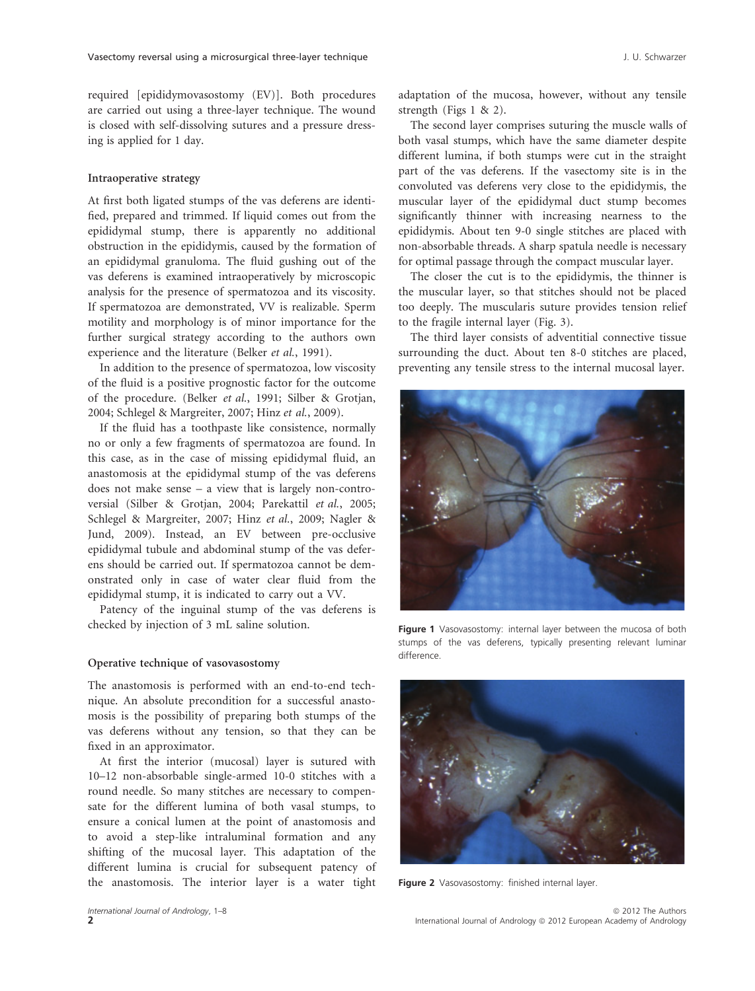required [epididymovasostomy (EV)]. Both procedures are carried out using a three-layer technique. The wound is closed with self-dissolving sutures and a pressure dressing is applied for 1 day.

#### Intraoperative strategy

At first both ligated stumps of the vas deferens are identified, prepared and trimmed. If liquid comes out from the epididymal stump, there is apparently no additional obstruction in the epididymis, caused by the formation of an epididymal granuloma. The fluid gushing out of the vas deferens is examined intraoperatively by microscopic analysis for the presence of spermatozoa and its viscosity. If spermatozoa are demonstrated, VV is realizable. Sperm motility and morphology is of minor importance for the further surgical strategy according to the authors own experience and the literature (Belker et al., 1991).

In addition to the presence of spermatozoa, low viscosity of the fluid is a positive prognostic factor for the outcome of the procedure. (Belker et al., 1991; Silber & Grotjan, 2004; Schlegel & Margreiter, 2007; Hinz et al., 2009).

If the fluid has a toothpaste like consistence, normally no or only a few fragments of spermatozoa are found. In this case, as in the case of missing epididymal fluid, an anastomosis at the epididymal stump of the vas deferens does not make sense – a view that is largely non-controversial (Silber & Grotjan, 2004; Parekattil et al., 2005; Schlegel & Margreiter, 2007; Hinz et al., 2009; Nagler & Jund, 2009). Instead, an EV between pre-occlusive epididymal tubule and abdominal stump of the vas deferens should be carried out. If spermatozoa cannot be demonstrated only in case of water clear fluid from the epididymal stump, it is indicated to carry out a VV.

Patency of the inguinal stump of the vas deferens is checked by injection of 3 mL saline solution.

#### Operative technique of vasovasostomy

The anastomosis is performed with an end-to-end technique. An absolute precondition for a successful anastomosis is the possibility of preparing both stumps of the vas deferens without any tension, so that they can be fixed in an approximator.

At first the interior (mucosal) layer is sutured with 10–12 non-absorbable single-armed 10-0 stitches with a round needle. So many stitches are necessary to compensate for the different lumina of both vasal stumps, to ensure a conical lumen at the point of anastomosis and to avoid a step-like intraluminal formation and any shifting of the mucosal layer. This adaptation of the different lumina is crucial for subsequent patency of the anastomosis. The interior layer is a water tight adaptation of the mucosa, however, without any tensile strength (Figs 1 & 2).

The second layer comprises suturing the muscle walls of both vasal stumps, which have the same diameter despite different lumina, if both stumps were cut in the straight part of the vas deferens. If the vasectomy site is in the convoluted vas deferens very close to the epididymis, the muscular layer of the epididymal duct stump becomes significantly thinner with increasing nearness to the epididymis. About ten 9-0 single stitches are placed with non-absorbable threads. A sharp spatula needle is necessary for optimal passage through the compact muscular layer.

The closer the cut is to the epididymis, the thinner is the muscular layer, so that stitches should not be placed too deeply. The muscularis suture provides tension relief to the fragile internal layer (Fig. 3).

The third layer consists of adventitial connective tissue surrounding the duct. About ten 8-0 stitches are placed, preventing any tensile stress to the internal mucosal layer.



Figure 1 Vasovasostomy: internal layer between the mucosa of both stumps of the vas deferens, typically presenting relevant luminar difference.



Figure 2 Vasovasostomy: finished internal layer.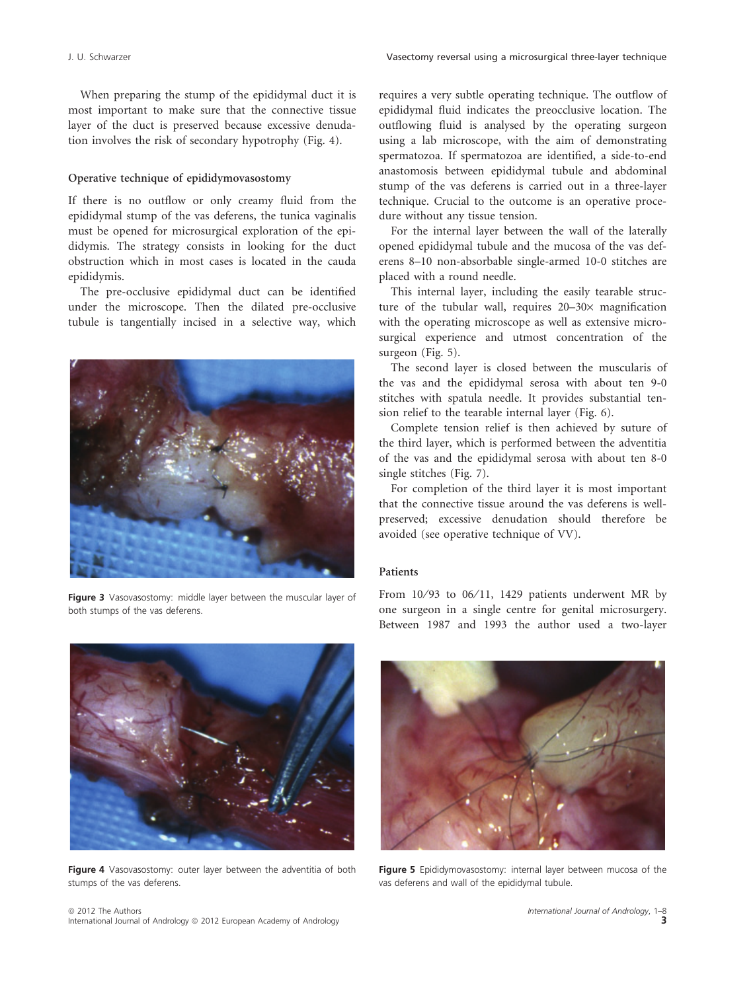When preparing the stump of the epididymal duct it is most important to make sure that the connective tissue layer of the duct is preserved because excessive denudation involves the risk of secondary hypotrophy (Fig. 4).

#### Operative technique of epididymovasostomy

If there is no outflow or only creamy fluid from the epididymal stump of the vas deferens, the tunica vaginalis must be opened for microsurgical exploration of the epididymis. The strategy consists in looking for the duct obstruction which in most cases is located in the cauda epididymis.

The pre-occlusive epididymal duct can be identified under the microscope. Then the dilated pre-occlusive tubule is tangentially incised in a selective way, which



Figure 3 Vasovasostomy: middle layer between the muscular layer of both stumps of the vas deferens.



For the internal layer between the wall of the laterally opened epididymal tubule and the mucosa of the vas deferens 8–10 non-absorbable single-armed 10-0 stitches are placed with a round needle.

This internal layer, including the easily tearable structure of the tubular wall, requires  $20-30\times$  magnification with the operating microscope as well as extensive microsurgical experience and utmost concentration of the surgeon (Fig. 5).

The second layer is closed between the muscularis of the vas and the epididymal serosa with about ten 9-0 stitches with spatula needle. It provides substantial tension relief to the tearable internal layer (Fig. 6).

Complete tension relief is then achieved by suture of the third layer, which is performed between the adventitia of the vas and the epididymal serosa with about ten 8-0 single stitches (Fig. 7).

For completion of the third layer it is most important that the connective tissue around the vas deferens is wellpreserved; excessive denudation should therefore be avoided (see operative technique of VV).

# Patients

From 10/93 to 06/11, 1429 patients underwent MR by one surgeon in a single centre for genital microsurgery. Between 1987 and 1993 the author used a two-layer



Figure 4 Vasovasostomy: outer layer between the adventitia of both stumps of the vas deferens.



Figure 5 Epididymovasostomy: internal layer between mucosa of the vas deferens and wall of the epididymal tubule.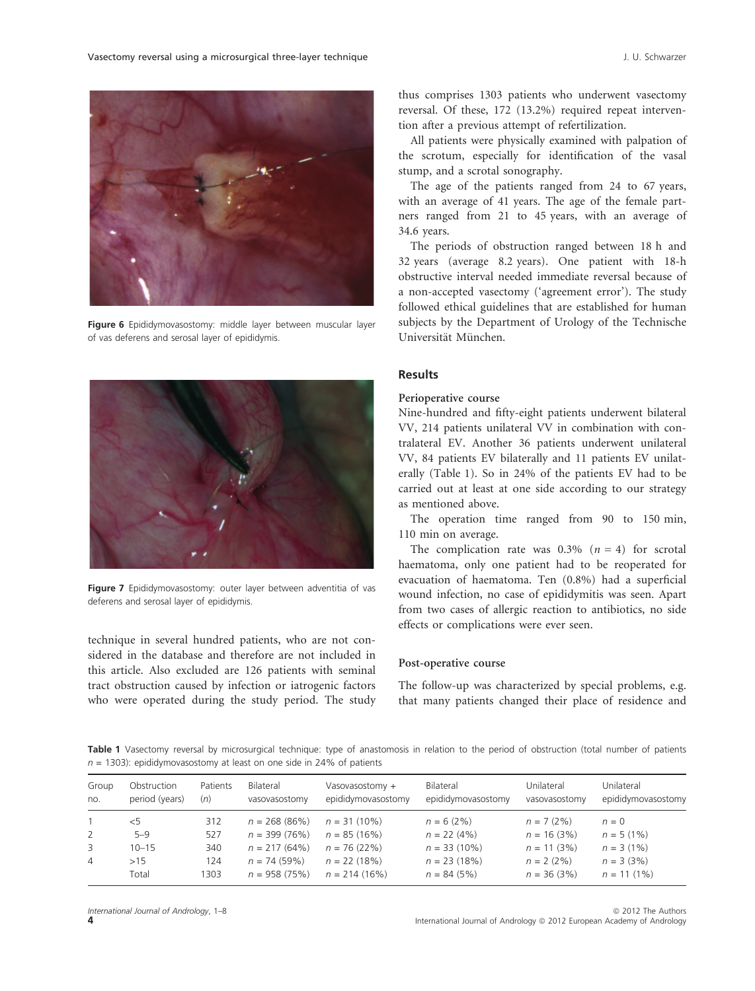

Figure 6 Epididymovasostomy: middle layer between muscular layer of vas deferens and serosal layer of epididymis.



Figure 7 Epididymovasostomy: outer layer between adventitia of vas deferens and serosal layer of epididymis.

technique in several hundred patients, who are not considered in the database and therefore are not included in this article. Also excluded are 126 patients with seminal tract obstruction caused by infection or iatrogenic factors who were operated during the study period. The study thus comprises 1303 patients who underwent vasectomy reversal. Of these, 172 (13.2%) required repeat intervention after a previous attempt of refertilization.

All patients were physically examined with palpation of the scrotum, especially for identification of the vasal stump, and a scrotal sonography.

The age of the patients ranged from 24 to 67 years, with an average of 41 years. The age of the female partners ranged from 21 to 45 years, with an average of 34.6 years.

The periods of obstruction ranged between 18 h and 32 years (average 8.2 years). One patient with 18-h obstructive interval needed immediate reversal because of a non-accepted vasectomy ('agreement error'). The study followed ethical guidelines that are established for human subjects by the Department of Urology of the Technische Universität München.

# Results

#### Perioperative course

Nine-hundred and fifty-eight patients underwent bilateral VV, 214 patients unilateral VV in combination with contralateral EV. Another 36 patients underwent unilateral VV, 84 patients EV bilaterally and 11 patients EV unilaterally (Table 1). So in 24% of the patients EV had to be carried out at least at one side according to our strategy as mentioned above.

The operation time ranged from 90 to 150 min, 110 min on average.

The complication rate was 0.3% ( $n = 4$ ) for scrotal haematoma, only one patient had to be reoperated for evacuation of haematoma. Ten (0.8%) had a superficial wound infection, no case of epididymitis was seen. Apart from two cases of allergic reaction to antibiotics, no side effects or complications were ever seen.

#### Post-operative course

The follow-up was characterized by special problems, e.g. that many patients changed their place of residence and

Table 1 Vasectomy reversal by microsurgical technique: type of anastomosis in relation to the period of obstruction (total number of patients  $n = 1303$ : epididymovasostomy at least on one side in 24% of patients

| Group<br>no. | Obstruction<br>period (years) | Patients<br>(n) | Bilateral<br>vasovasostomy | Vasovasostomy +<br>epididymovasostomy | Bilateral<br>epididymovasostomy | Unilateral<br>vasovasostomy | Unilateral<br>epididymovasostomy |
|--------------|-------------------------------|-----------------|----------------------------|---------------------------------------|---------------------------------|-----------------------------|----------------------------------|
|              | $<$ 5                         | 312             | $n = 268(86%)$             | $n = 31(10\%)$                        | $n = 6(2%)$                     | $n = 7(2%)$                 | $n = 0$                          |
| 2            | $5 - 9$                       | 527             | $n = 399(76%)$             | $n = 85(16%)$                         | $n = 22(4%)$                    | $n = 16(3%)$                | $n = 5(1\%)$                     |
| 3            | $10 - 15$                     | 340             | $n = 217(64%)$             | $n = 76(22%)$                         | $n = 33(10\%)$                  | $n = 11(3%)$                | $n = 3(1\%)$                     |
| 4            | >15                           | 124             | $n = 74(59%)$              | $n = 22(18%)$                         | $n = 23(18%)$                   | $n = 2(2\%)$                | $n = 3(3%)$                      |
|              | Total                         | 1303            | $n = 958(75%)$             | $n = 214(16%)$                        | $n = 84(5%)$                    | $n = 36(3%)$                | $n = 11(1\%)$                    |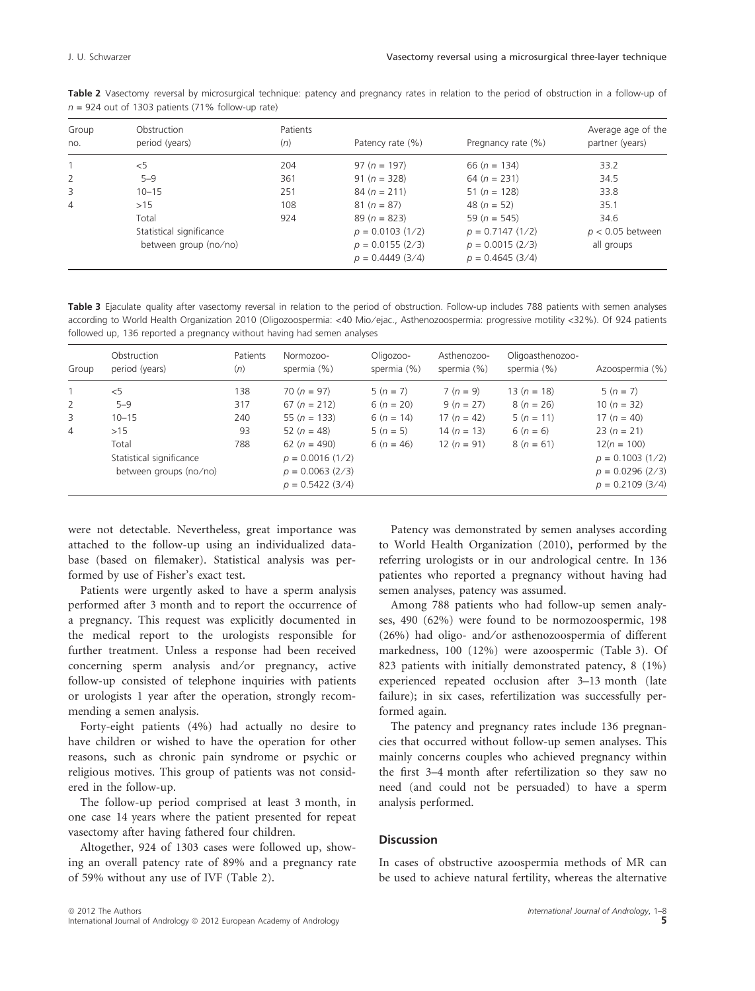| Group<br>no. | Obstruction<br>period (years) | Patients<br>(n)                           | Patency rate $(\%)$                    | Pregnancy rate (%)                     | Average age of the<br>partner (years) |  |
|--------------|-------------------------------|-------------------------------------------|----------------------------------------|----------------------------------------|---------------------------------------|--|
|              | $<$ 5                         | $97 (n = 197)$<br>204<br>66 ( $n = 134$ ) |                                        |                                        | 33.2                                  |  |
| 2            | $5 - 9$                       | 361                                       | $91 (n = 328)$                         | 64 ( $n = 231$ )                       | 34.5                                  |  |
| 3            | $10 - 15$                     | 251                                       | $84 (n = 211)$                         | 51 ( $n = 128$ )                       | 33.8                                  |  |
| 4            | >15                           | 108                                       | $81 (n = 87)$                          | 48 $(n = 52)$                          | 35.1                                  |  |
|              | Total                         | 924                                       | $89 (n = 823)$                         | 59 ( $n = 545$ )                       | 34.6                                  |  |
|              | Statistical significance      |                                           | $p = 0.0103(1/2)$                      | $p = 0.7147(1/2)$                      | $p < 0.05$ between                    |  |
|              | between group (no/no)         |                                           | $p = 0.0155(2/3)$<br>$p = 0.4449(3/4)$ | $p = 0.0015(2/3)$<br>$p = 0.4645(3/4)$ | all groups                            |  |

Table 2 Vasectomy reversal by microsurgical technique: patency and pregnancy rates in relation to the period of obstruction in a follow-up of  $n = 924$  out of 1303 patients (71% follow-up rate)

Table 3 Ejaculate quality after vasectomy reversal in relation to the period of obstruction. Follow-up includes 788 patients with semen analyses according to World Health Organization 2010 (Oligozoospermia: <40 Mio/ejac., Asthenozoospermia: progressive motility <32%). Of 924 patients followed up, 136 reported a pregnancy without having had semen analyses

| Group          | Obstruction<br>period (years)                               | Patients<br>(n) | Normozoo-<br>spermia (%)                                                        | Oligozoo-<br>spermia (%) | Asthenozoo-<br>spermia (%) | Oligoasthenozoo-<br>spermia (%) | Azoospermia (%)                                                               |
|----------------|-------------------------------------------------------------|-----------------|---------------------------------------------------------------------------------|--------------------------|----------------------------|---------------------------------|-------------------------------------------------------------------------------|
|                | $<$ 5                                                       | 138             | $70 (n = 97)$                                                                   | $5(n = 7)$               | $7 (n = 9)$                | $13(n = 18)$                    | $5(n = 7)$                                                                    |
| 2              | $5 - 9$                                                     | 317             | $67 (n = 212)$                                                                  | $6(n = 20)$              | $9 (n = 27)$               | $8(n = 26)$                     | 10 $(n = 32)$                                                                 |
| 3              | $10 - 15$                                                   | 240             | 55 ( $n = 133$ )                                                                | $6(n = 14)$              | 17 $(n = 42)$              | $5(n = 11)$                     | 17 ( $n = 40$ )                                                               |
| $\overline{4}$ | >15                                                         | 93              | 52 $(n = 48)$                                                                   | $5(n = 5)$               | $14 (n = 13)$              | $6(n = 6)$                      | $23(n = 21)$                                                                  |
|                | Total<br>Statistical significance<br>between groups (no/no) | 788             | 62 ( $n = 490$ )<br>$p = 0.0016(1/2)$<br>$p = 0.0063(2/3)$<br>$p = 0.5422(3/4)$ | $6(n = 46)$              | 12 $(n = 91)$              | $8(n = 61)$                     | $12(n = 100)$<br>$p = 0.1003$ (1/2)<br>$p = 0.0296(2/3)$<br>$p = 0.2109(3/4)$ |

were not detectable. Nevertheless, great importance was attached to the follow-up using an individualized database (based on filemaker). Statistical analysis was performed by use of Fisher's exact test.

Patients were urgently asked to have a sperm analysis performed after 3 month and to report the occurrence of a pregnancy. This request was explicitly documented in the medical report to the urologists responsible for further treatment. Unless a response had been received concerning sperm analysis and/or pregnancy, active follow-up consisted of telephone inquiries with patients or urologists 1 year after the operation, strongly recommending a semen analysis.

Forty-eight patients (4%) had actually no desire to have children or wished to have the operation for other reasons, such as chronic pain syndrome or psychic or religious motives. This group of patients was not considered in the follow-up.

The follow-up period comprised at least 3 month, in one case 14 years where the patient presented for repeat vasectomy after having fathered four children.

Altogether, 924 of 1303 cases were followed up, showing an overall patency rate of 89% and a pregnancy rate of 59% without any use of IVF (Table 2).

Patency was demonstrated by semen analyses according to World Health Organization (2010), performed by the referring urologists or in our andrological centre. In 136 patientes who reported a pregnancy without having had semen analyses, patency was assumed.

Among 788 patients who had follow-up semen analyses, 490 (62%) were found to be normozoospermic, 198 (26%) had oligo- and/or asthenozoospermia of different markedness, 100 (12%) were azoospermic (Table 3). Of 823 patients with initially demonstrated patency, 8 (1%) experienced repeated occlusion after 3–13 month (late failure); in six cases, refertilization was successfully performed again.

The patency and pregnancy rates include 136 pregnancies that occurred without follow-up semen analyses. This mainly concerns couples who achieved pregnancy within the first 3–4 month after refertilization so they saw no need (and could not be persuaded) to have a sperm analysis performed.

# **Discussion**

In cases of obstructive azoospermia methods of MR can be used to achieve natural fertility, whereas the alternative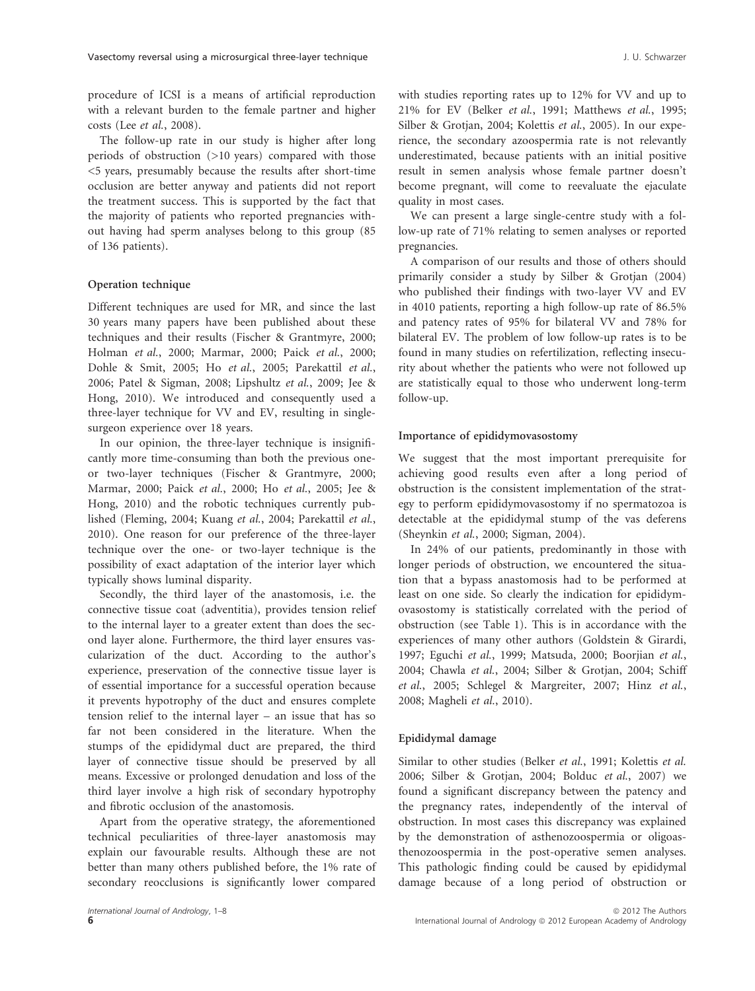procedure of ICSI is a means of artificial reproduction with a relevant burden to the female partner and higher costs (Lee et al., 2008).

The follow-up rate in our study is higher after long periods of obstruction (>10 years) compared with those <5 years, presumably because the results after short-time occlusion are better anyway and patients did not report the treatment success. This is supported by the fact that the majority of patients who reported pregnancies without having had sperm analyses belong to this group (85 of 136 patients).

## Operation technique

Different techniques are used for MR, and since the last 30 years many papers have been published about these techniques and their results (Fischer & Grantmyre, 2000; Holman et al., 2000; Marmar, 2000; Paick et al., 2000; Dohle & Smit, 2005; Ho et al., 2005; Parekattil et al., 2006; Patel & Sigman, 2008; Lipshultz et al., 2009; Jee & Hong, 2010). We introduced and consequently used a three-layer technique for VV and EV, resulting in singlesurgeon experience over 18 years.

In our opinion, the three-layer technique is insignificantly more time-consuming than both the previous oneor two-layer techniques (Fischer & Grantmyre, 2000; Marmar, 2000; Paick et al., 2000; Ho et al., 2005; Jee & Hong, 2010) and the robotic techniques currently published (Fleming, 2004; Kuang et al., 2004; Parekattil et al., 2010). One reason for our preference of the three-layer technique over the one- or two-layer technique is the possibility of exact adaptation of the interior layer which typically shows luminal disparity.

Secondly, the third layer of the anastomosis, i.e. the connective tissue coat (adventitia), provides tension relief to the internal layer to a greater extent than does the second layer alone. Furthermore, the third layer ensures vascularization of the duct. According to the author's experience, preservation of the connective tissue layer is of essential importance for a successful operation because it prevents hypotrophy of the duct and ensures complete tension relief to the internal layer – an issue that has so far not been considered in the literature. When the stumps of the epididymal duct are prepared, the third layer of connective tissue should be preserved by all means. Excessive or prolonged denudation and loss of the third layer involve a high risk of secondary hypotrophy and fibrotic occlusion of the anastomosis.

Apart from the operative strategy, the aforementioned technical peculiarities of three-layer anastomosis may explain our favourable results. Although these are not better than many others published before, the 1% rate of secondary reocclusions is significantly lower compared with studies reporting rates up to 12% for VV and up to 21% for EV (Belker et al., 1991; Matthews et al., 1995; Silber & Grotjan, 2004; Kolettis et al., 2005). In our experience, the secondary azoospermia rate is not relevantly underestimated, because patients with an initial positive result in semen analysis whose female partner doesn't become pregnant, will come to reevaluate the ejaculate quality in most cases.

We can present a large single-centre study with a follow-up rate of 71% relating to semen analyses or reported pregnancies.

A comparison of our results and those of others should primarily consider a study by Silber & Grotjan (2004) who published their findings with two-layer VV and EV in 4010 patients, reporting a high follow-up rate of 86.5% and patency rates of 95% for bilateral VV and 78% for bilateral EV. The problem of low follow-up rates is to be found in many studies on refertilization, reflecting insecurity about whether the patients who were not followed up are statistically equal to those who underwent long-term follow-up.

#### Importance of epididymovasostomy

We suggest that the most important prerequisite for achieving good results even after a long period of obstruction is the consistent implementation of the strategy to perform epididymovasostomy if no spermatozoa is detectable at the epididymal stump of the vas deferens (Sheynkin et al., 2000; Sigman, 2004).

In 24% of our patients, predominantly in those with longer periods of obstruction, we encountered the situation that a bypass anastomosis had to be performed at least on one side. So clearly the indication for epididymovasostomy is statistically correlated with the period of obstruction (see Table 1). This is in accordance with the experiences of many other authors (Goldstein & Girardi, 1997; Eguchi et al., 1999; Matsuda, 2000; Boorjian et al., 2004; Chawla et al., 2004; Silber & Grotjan, 2004; Schiff et al., 2005; Schlegel & Margreiter, 2007; Hinz et al., 2008; Magheli et al., 2010).

#### Epididymal damage

Similar to other studies (Belker et al., 1991; Kolettis et al. 2006; Silber & Grotjan, 2004; Bolduc et al., 2007) we found a significant discrepancy between the patency and the pregnancy rates, independently of the interval of obstruction. In most cases this discrepancy was explained by the demonstration of asthenozoospermia or oligoasthenozoospermia in the post-operative semen analyses. This pathologic finding could be caused by epididymal damage because of a long period of obstruction or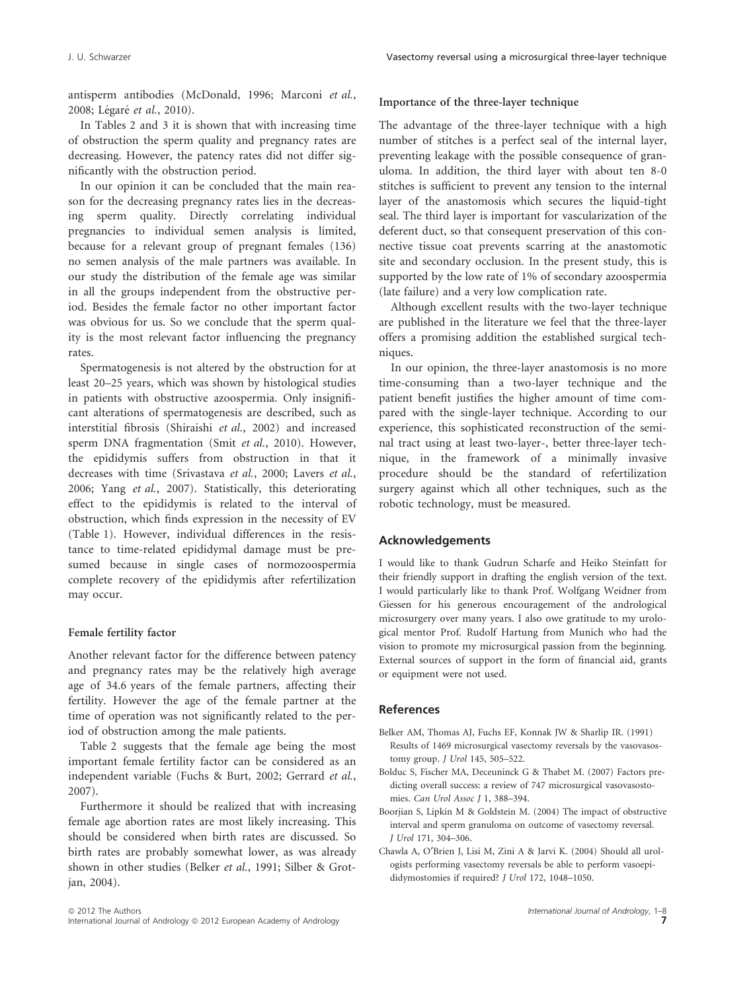antisperm antibodies (McDonald, 1996; Marconi et al., 2008; Légaré et al., 2010).

In Tables 2 and 3 it is shown that with increasing time of obstruction the sperm quality and pregnancy rates are decreasing. However, the patency rates did not differ significantly with the obstruction period.

In our opinion it can be concluded that the main reason for the decreasing pregnancy rates lies in the decreasing sperm quality. Directly correlating individual pregnancies to individual semen analysis is limited, because for a relevant group of pregnant females (136) no semen analysis of the male partners was available. In our study the distribution of the female age was similar in all the groups independent from the obstructive period. Besides the female factor no other important factor was obvious for us. So we conclude that the sperm quality is the most relevant factor influencing the pregnancy rates.

Spermatogenesis is not altered by the obstruction for at least 20–25 years, which was shown by histological studies in patients with obstructive azoospermia. Only insignificant alterations of spermatogenesis are described, such as interstitial fibrosis (Shiraishi et al., 2002) and increased sperm DNA fragmentation (Smit et al., 2010). However, the epididymis suffers from obstruction in that it decreases with time (Srivastava et al., 2000; Lavers et al., 2006; Yang et al., 2007). Statistically, this deteriorating effect to the epididymis is related to the interval of obstruction, which finds expression in the necessity of EV (Table 1). However, individual differences in the resistance to time-related epididymal damage must be presumed because in single cases of normozoospermia complete recovery of the epididymis after refertilization may occur.

#### Female fertility factor

Another relevant factor for the difference between patency and pregnancy rates may be the relatively high average age of 34.6 years of the female partners, affecting their fertility. However the age of the female partner at the time of operation was not significantly related to the period of obstruction among the male patients.

Table 2 suggests that the female age being the most important female fertility factor can be considered as an independent variable (Fuchs & Burt, 2002; Gerrard et al., 2007).

Furthermore it should be realized that with increasing female age abortion rates are most likely increasing. This should be considered when birth rates are discussed. So birth rates are probably somewhat lower, as was already shown in other studies (Belker et al., 1991; Silber & Grotjan, 2004).

Importance of the three-layer technique

The advantage of the three-layer technique with a high number of stitches is a perfect seal of the internal layer, preventing leakage with the possible consequence of granuloma. In addition, the third layer with about ten 8-0 stitches is sufficient to prevent any tension to the internal layer of the anastomosis which secures the liquid-tight seal. The third layer is important for vascularization of the deferent duct, so that consequent preservation of this connective tissue coat prevents scarring at the anastomotic site and secondary occlusion. In the present study, this is supported by the low rate of 1% of secondary azoospermia (late failure) and a very low complication rate.

Although excellent results with the two-layer technique are published in the literature we feel that the three-layer offers a promising addition the established surgical techniques.

In our opinion, the three-layer anastomosis is no more time-consuming than a two-layer technique and the patient benefit justifies the higher amount of time compared with the single-layer technique. According to our experience, this sophisticated reconstruction of the seminal tract using at least two-layer-, better three-layer technique, in the framework of a minimally invasive procedure should be the standard of refertilization surgery against which all other techniques, such as the robotic technology, must be measured.

### Acknowledgements

I would like to thank Gudrun Scharfe and Heiko Steinfatt for their friendly support in drafting the english version of the text. I would particularly like to thank Prof. Wolfgang Weidner from Giessen for his generous encouragement of the andrological microsurgery over many years. I also owe gratitude to my urological mentor Prof. Rudolf Hartung from Munich who had the vision to promote my microsurgical passion from the beginning. External sources of support in the form of financial aid, grants or equipment were not used.

### References

- Belker AM, Thomas AJ, Fuchs EF, Konnak JW & Sharlip IR. (1991) Results of 1469 microsurgical vasectomy reversals by the vasovasostomy group. J Urol 145, 505–522.
- Bolduc S, Fischer MA, Deceuninck G & Thabet M. (2007) Factors predicting overall success: a review of 747 microsurgical vasovasostomies. Can Urol Assoc J 1, 388–394.
- Boorjian S, Lipkin M & Goldstein M. (2004) The impact of obstructive interval and sperm granuloma on outcome of vasectomy reversal. J Urol 171, 304–306.
- Chawla A, O¢Brien J, Lisi M, Zini A & Jarvi K. (2004) Should all urologists performing vasectomy reversals be able to perform vasoepididymostomies if required? J Urol 172, 1048–1050.